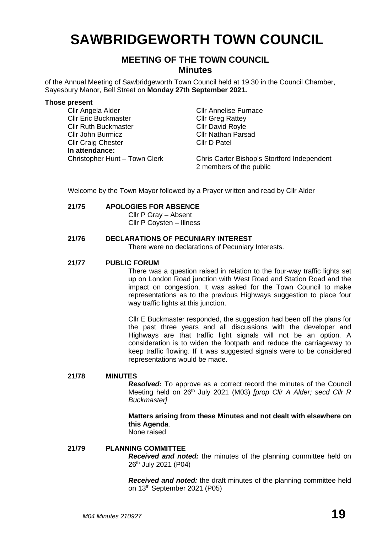# **SAWBRIDGEWORTH TOWN COUNCIL**

# **MEETING OF THE TOWN COUNCIL Minutes**

of the Annual Meeting of Sawbridgeworth Town Council held at 19.30 in the Council Chamber, Sayesbury Manor, Bell Street on **Monday 27th September 2021.**

#### **Those present**

Cllr Angela Alder Cllr Annelise Furnace Cllr Eric Buckmaster Cllr Greg Rattey Cllr Ruth Buckmaster Cllr David Royle Cllr John Burmicz<br>
Cllr Craig Chester
Cllr Craig Chester
Cllr D Patel Cllr Craig Chester **In attendance:** Christopher Hunt – Town Clerk Chris Carter Bishop's Stortford Independent 2 members of the public

Welcome by the Town Mayor followed by a Prayer written and read by Cllr Alder

#### **21/75 APOLOGIES FOR ABSENCE**

Cllr P Gray – Absent Cllr P Coysten – Illness

## **21/76 DECLARATIONS OF PECUNIARY INTEREST**

There were no declarations of Pecuniary Interests.

#### **21/77 PUBLIC FORUM**

There was a question raised in relation to the four-way traffic lights set up on London Road junction with West Road and Station Road and the impact on congestion. It was asked for the Town Council to make representations as to the previous Highways suggestion to place four way traffic lights at this junction.

Cllr E Buckmaster responded, the suggestion had been off the plans for the past three years and all discussions with the developer and Highways are that traffic light signals will not be an option. A consideration is to widen the footpath and reduce the carriageway to keep traffic flowing. If it was suggested signals were to be considered representations would be made.

#### **21/78 MINUTES**

*Resolved:* To approve as a correct record the minutes of the Council Meeting held on 26<sup>th</sup> July 2021 (M03) [prop Cllr A Alder; secd Cllr R *Buckmaster]*

**Matters arising from these Minutes and not dealt with elsewhere on this Agenda**.

None raised

## **21/79 PLANNING COMMITTEE**

*Received and noted:* the minutes of the planning committee held on 26 th July 2021 (P04)

*Received and noted:* the draft minutes of the planning committee held on 13th September 2021 (P05)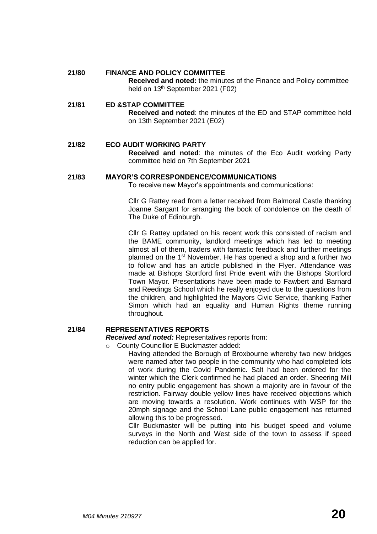#### **21/80 FINANCE AND POLICY COMMITTEE**

**Received and noted:** the minutes of the Finance and Policy committee held on 13<sup>th</sup> September 2021 (F02)

#### **21/81 ED &STAP COMMITTEE**

**Received and noted**: the minutes of the ED and STAP committee held on 13th September 2021 (E02)

# **21/82 ECO AUDIT WORKING PARTY**

**Received and noted**: the minutes of the Eco Audit working Party committee held on 7th September 2021

#### **21/83 MAYOR'S CORRESPONDENCE/COMMUNICATIONS**

To receive new Mayor's appointments and communications:

Cllr G Rattey read from a letter received from Balmoral Castle thanking Joanne Sargant for arranging the book of condolence on the death of The Duke of Edinburgh.

Cllr G Rattey updated on his recent work this consisted of racism and the BAME community, landlord meetings which has led to meeting almost all of them, traders with fantastic feedback and further meetings planned on the 1<sup>st</sup> November. He has opened a shop and a further two to follow and has an article published in the Flyer. Attendance was made at Bishops Stortford first Pride event with the Bishops Stortford Town Mayor. Presentations have been made to Fawbert and Barnard and Reedings School which he really enjoyed due to the questions from the children, and highlighted the Mayors Civic Service, thanking Father Simon which had an equality and Human Rights theme running throughout.

#### **21/84 REPRESENTATIVES REPORTS**

*Received and noted:* Representatives reports from:

o County Councillor E Buckmaster added:

Having attended the Borough of Broxbourne whereby two new bridges were named after two people in the community who had completed lots of work during the Covid Pandemic. Salt had been ordered for the winter which the Clerk confirmed he had placed an order. Sheering Mill no entry public engagement has shown a majority are in favour of the restriction. Fairway double yellow lines have received objections which are moving towards a resolution. Work continues with WSP for the 20mph signage and the School Lane public engagement has returned allowing this to be progressed.

Cllr Buckmaster will be putting into his budget speed and volume surveys in the North and West side of the town to assess if speed reduction can be applied for.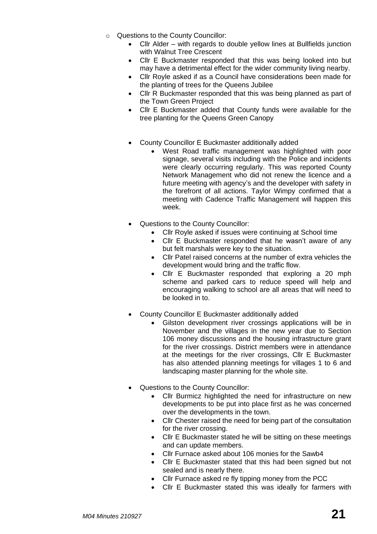- o Questions to the County Councillor:
	- Cllr Alder with regards to double yellow lines at Bullfields junction with Walnut Tree Crescent
	- Cllr E Buckmaster responded that this was being looked into but may have a detrimental effect for the wider community living nearby.
	- Cllr Royle asked if as a Council have considerations been made for the planting of trees for the Queens Jubilee
	- Cllr R Buckmaster responded that this was being planned as part of the Town Green Project
	- Cllr E Buckmaster added that County funds were available for the tree planting for the Queens Green Canopy
	- County Councillor E Buckmaster additionally added
		- West Road traffic management was highlighted with poor signage, several visits including with the Police and incidents were clearly occurring regularly. This was reported County Network Management who did not renew the licence and a future meeting with agency's and the developer with safety in the forefront of all actions. Taylor Wimpy confirmed that a meeting with Cadence Traffic Management will happen this week.
	- Questions to the County Councillor:
		- Cllr Royle asked if issues were continuing at School time
		- Cllr E Buckmaster responded that he wasn't aware of any but felt marshals were key to the situation.
		- Cllr Patel raised concerns at the number of extra vehicles the development would bring and the traffic flow.
		- Cllr E Buckmaster responded that exploring a 20 mph scheme and parked cars to reduce speed will help and encouraging walking to school are all areas that will need to be looked in to.
	- County Councillor E Buckmaster additionally added
		- Gilston development river crossings applications will be in November and the villages in the new year due to Section 106 money discussions and the housing infrastructure grant for the river crossings. District members were in attendance at the meetings for the river crossings, Cllr E Buckmaster has also attended planning meetings for villages 1 to 6 and landscaping master planning for the whole site.
	- Questions to the County Councillor:
		- Cllr Burmicz highlighted the need for infrastructure on new developments to be put into place first as he was concerned over the developments in the town.
		- Cllr Chester raised the need for being part of the consultation for the river crossing.
		- Cllr E Buckmaster stated he will be sitting on these meetings and can update members.
		- Cllr Furnace asked about 106 monies for the Sawb4
		- Cllr E Buckmaster stated that this had been signed but not sealed and is nearly there.
		- Cllr Furnace asked re fly tipping money from the PCC
		- Cllr E Buckmaster stated this was ideally for farmers with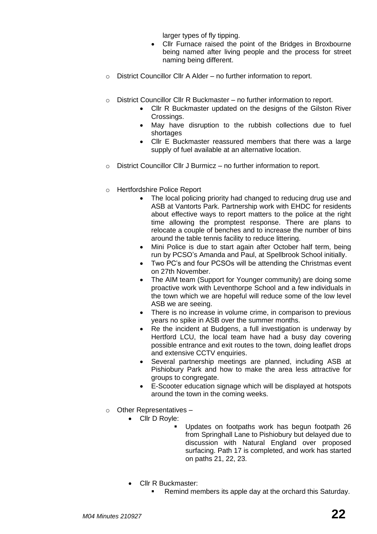larger types of fly tipping.

- Cllr Furnace raised the point of the Bridges in Broxbourne being named after living people and the process for street naming being different.
- o District Councillor Cllr A Alder no further information to report.
- o District Councillor Cllr R Buckmaster no further information to report.
	- Cllr R Buckmaster updated on the designs of the Gilston River Crossings.
	- May have disruption to the rubbish collections due to fuel shortages
	- Cllr E Buckmaster reassured members that there was a large supply of fuel available at an alternative location.
- o District Councillor Cllr J Burmicz no further information to report.
- o Hertfordshire Police Report
	- The local policing priority had changed to reducing drug use and ASB at Vantorts Park. Partnership work with EHDC for residents about effective ways to report matters to the police at the right time allowing the promptest response. There are plans to relocate a couple of benches and to increase the number of bins around the table tennis facility to reduce littering.
	- Mini Police is due to start again after October half term, being run by PCSO's Amanda and Paul, at Spellbrook School initially.
	- Two PC's and four PCSOs will be attending the Christmas event on 27th November.
	- The AIM team (Support for Younger community) are doing some proactive work with Leventhorpe School and a few individuals in the town which we are hopeful will reduce some of the low level ASB we are seeing.
	- There is no increase in volume crime, in comparison to previous years no spike in ASB over the summer months.
	- Re the incident at Budgens, a full investigation is underway by Hertford LCU, the local team have had a busy day covering possible entrance and exit routes to the town, doing leaflet drops and extensive CCTV enquiries.
	- Several partnership meetings are planned, including ASB at Pishiobury Park and how to make the area less attractive for groups to congregate.
	- E-Scooter education signage which will be displayed at hotspots around the town in the coming weeks.
- o Other Representatives
	- Cllr D Royle:
		- Updates on footpaths work has begun footpath 26 from Springhall Lane to Pishiobury but delayed due to discussion with Natural England over proposed surfacing. Path 17 is completed, and work has started on paths 21, 22, 23.
		- Cllr R Buckmaster:
			- Remind members its apple day at the orchard this Saturday.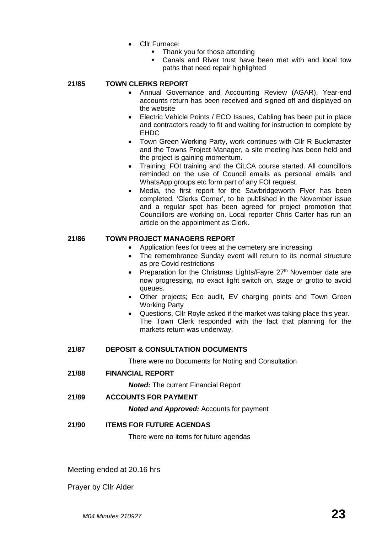- Cllr Furnace:
	- Thank you for those attending
	- Canals and River trust have been met with and local tow paths that need repair highlighted

# **21/85 TOWN CLERKS REPORT**

- Annual Governance and Accounting Review (AGAR), Year-end accounts return has been received and signed off and displayed on the website
- Electric Vehicle Points / ECO Issues, Cabling has been put in place and contractors ready to fit and waiting for instruction to complete by EHDC
- Town Green Working Party, work continues with Cllr R Buckmaster and the Towns Project Manager, a site meeting has been held and the project is gaining momentum.
- Training, FOI training and the CiLCA course started. All councillors reminded on the use of Council emails as personal emails and WhatsApp groups etc form part of any FOI request.
- Media, the first report for the Sawbridgeworth Flyer has been completed, 'Clerks Corner', to be published in the November issue and a regular spot has been agreed for project promotion that Councillors are working on. Local reporter Chris Carter has run an article on the appointment as Clerk.

# **21/86 TOWN PROJECT MANAGERS REPORT**

- Application fees for trees at the cemetery are increasing
- The remembrance Sunday event will return to its normal structure as pre Covid restrictions
- Preparation for the Christmas Lights/Fayre  $27<sup>th</sup>$  November date are now progressing, no exact light switch on, stage or grotto to avoid queues.
- Other projects; Eco audit, EV charging points and Town Green Working Party
- Questions, Cllr Royle asked if the market was taking place this year. The Town Clerk responded with the fact that planning for the markets return was underway.

# **21/87 DEPOSIT & CONSULTATION DOCUMENTS**

There were no Documents for Noting and Consultation

**21/88 FINANCIAL REPORT**

*Noted:* The current Financial Report

**21/89 ACCOUNTS FOR PAYMENT**

*Noted and Approved:* Accounts for payment

# **21/90 ITEMS FOR FUTURE AGENDAS**

There were no items for future agendas

Meeting ended at 20.16 hrs

Prayer by Cllr Alder